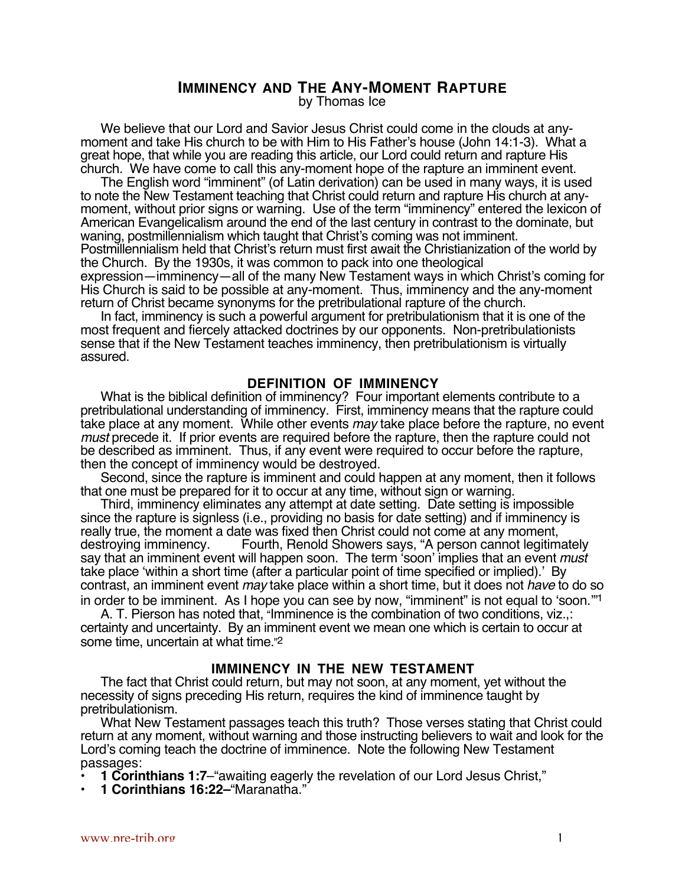# **IMMINENCY AND THE ANY-MOMENT RAPTURE**

by Thomas Ice

We believe that our Lord and Savior Jesus Christ could come in the clouds at anymoment and take His church to be with Him to His Father's house (John 14:1-3). What a great hope, that while you are reading this article, our Lord could return and rapture His church. We have come to call this any-moment hope of the rapture an imminent event.

The English word "imminent" (of Latin derivation) can be used in many ways, it is used to note the New Testament teaching that Christ could return and rapture His church at anymoment, without prior signs or warning. Use of the term "imminency" entered the lexicon of American Evangelicalism around the end of the last century in contrast to the dominate, but waning, postmillennialism which taught that Christ's coming was not imminent. Postmillennialism held that Christ's return must first await the Christianization of the world by the Church. By the 1930s, it was common to pack into one theological expression—imminency—all of the many New Testament ways in which Christ's coming for His Church is said to be possible at any-moment. Thus, imminency and the any-moment return of Christ became synonyms for the pretribulational rapture of the church.

In fact, imminency is such a powerful argument for pretribulationism that it is one of the most frequent and fiercely attacked doctrines by our opponents. Non-pretribulationists sense that if the New Testament teaches imminency, then pretribulationism is virtually assured.

### **DEFINITION OF IMMINENCY**

What is the biblical definition of imminency? Four important elements contribute to a pretribulational understanding of imminency. First, imminency means that the rapture could take place at any moment. While other events may take place before the rapture, no event must precede it. If prior events are required before the rapture, then the rapture could not be described as imminent. Thus, if any event were required to occur before the rapture, then the concept of imminency would be destroyed.

Second, since the rapture is imminent and could happen at any moment, then it follows that one must be prepared for it to occur at any time, without sign or warning.

Third, imminency eliminates any attempt at date setting. Date setting is impossible since the rapture is signless (i.e., providing no basis for date setting) and if imminency is really true, the moment a date was fixed then Christ could not come at any moment, destroying imminency. Fourth, Renold Showers says, "A person cannot legitimately say that an imminent event will happen soon. The term 'soon' implies that an event *must* take place 'within a short time (after a particular point of time specified or implied).' By contrast, an imminent event may take place within a short time, but it does not have to do so in order to be imminent. As I hope you can see by now, "imminent" is not equal to 'soon.'"1

A. T. Pierson has noted that, "Imminence is the combination of two conditions, viz.,: certainty and uncertainty. By an imminent event we mean one which is certain to occur at some time, uncertain at what time."2

### **IMMINENCY IN THE NEW TESTAMENT**

The fact that Christ could return, but may not soon, at any moment, yet without the necessity of signs preceding His return, requires the kind of imminence taught by pretribulationism.

What New Testament passages teach this truth? Those verses stating that Christ could return at any moment, without warning and those instructing believers to wait and look for the Lord's coming teach the doctrine of imminence. Note the following New Testament passages:

- **1 Corinthians 1:7**–"awaiting eagerly the revelation of our Lord Jesus Christ,"
- **1 Corinthians 16:22–**"Maranatha."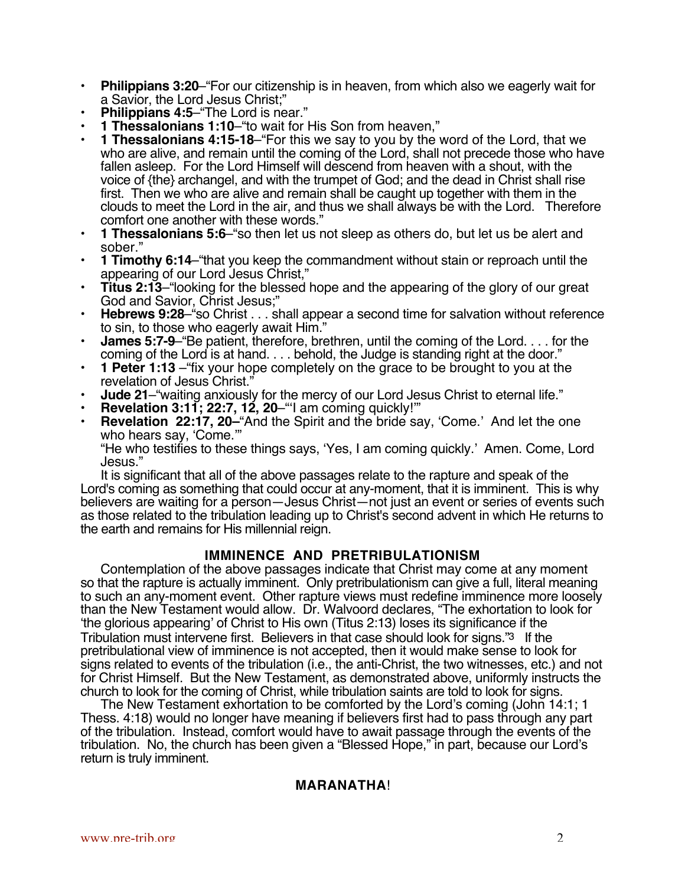- **Philippians 3:20**–"For our citizenship is in heaven, from which also we eagerly wait for a Savior, the Lord Jesus Christ;"
- **Philippians 4:5**–"The Lord is near."
- **1 Thessalonians 1:10**–"to wait for His Son from heaven,"
- **1 Thessalonians 4:15-18**–"For this we say to you by the word of the Lord, that we who are alive, and remain until the coming of the Lord, shall not precede those who have fallen asleep. For the Lord Himself will descend from heaven with a shout, with the voice of {the} archangel, and with the trumpet of God; and the dead in Christ shall rise first. Then we who are alive and remain shall be caught up together with them in the clouds to meet the Lord in the air, and thus we shall always be with the Lord. Therefore comfort one another with these words."
- **1 Thessalonians 5:6**–"so then let us not sleep as others do, but let us be alert and sober."
- **1 Timothy 6:14**–"that you keep the commandment without stain or reproach until the appearing of our Lord Jesus Christ,"
- **Titus 2:13**–"looking for the blessed hope and the appearing of the glory of our great God and Savior, Christ Jesus;"
- **Hebrews 9:28**–"so Christ . . . shall appear a second time for salvation without reference to sin, to those who eagerly await Him."
- **James 5:7-9**–"Be patient, therefore, brethren, until the coming of the Lord. . . . for the coming of the Lord is at hand. . . . behold, the Judge is standing right at the door."
- **1 Peter 1:13** –"fix your hope completely on the grace to be brought to you at the revelation of Jesus Christ."
- **Jude 21**–"waiting anxiously for the mercy of our Lord Jesus Christ to eternal life."
- **Revelation 3:11; 22:7, 12, 20-**"I am coming quickly!"
- **Revelation 22:17, 20–**"And the Spirit and the bride say, 'Come.' And let the one who hears say, 'Come.'"

"He who testifies to these things says, 'Yes, I am coming quickly.' Amen. Come, Lord Jesus."

It is significant that all of the above passages relate to the rapture and speak of the Lord's coming as something that could occur at any-moment, that it is imminent. This is why believers are waiting for a person—Jesus Christ—not just an event or series of events such as those related to the tribulation leading up to Christ's second advent in which He returns to the earth and remains for His millennial reign.

## **IMMINENCE AND PRETRIBULATIONISM**

Contemplation of the above passages indicate that Christ may come at any moment so that the rapture is actually imminent. Only pretribulationism can give a full, literal meaning to such an any-moment event. Other rapture views must redefine imminence more loosely than the New Testament would allow. Dr. Walvoord declares, "The exhortation to look for 'the glorious appearing' of Christ to His own (Titus 2:13) loses its significance if the Tribulation must intervene first. Believers in that case should look for signs."3 If the pretribulational view of imminence is not accepted, then it would make sense to look for signs related to events of the tribulation (i.e., the anti-Christ, the two witnesses, etc.) and not for Christ Himself. But the New Testament, as demonstrated above, uniformly instructs the church to look for the coming of Christ, while tribulation saints are told to look for signs.

The New Testament exhortation to be comforted by the Lord's coming (John 14:1; 1 Thess. 4:18) would no longer have meaning if believers first had to pass through any part of the tribulation. Instead, comfort would have to await passage through the events of the tribulation. No, the church has been given a "Blessed Hope," in part, because our Lord's return is truly imminent.

### **MARANATHA**!